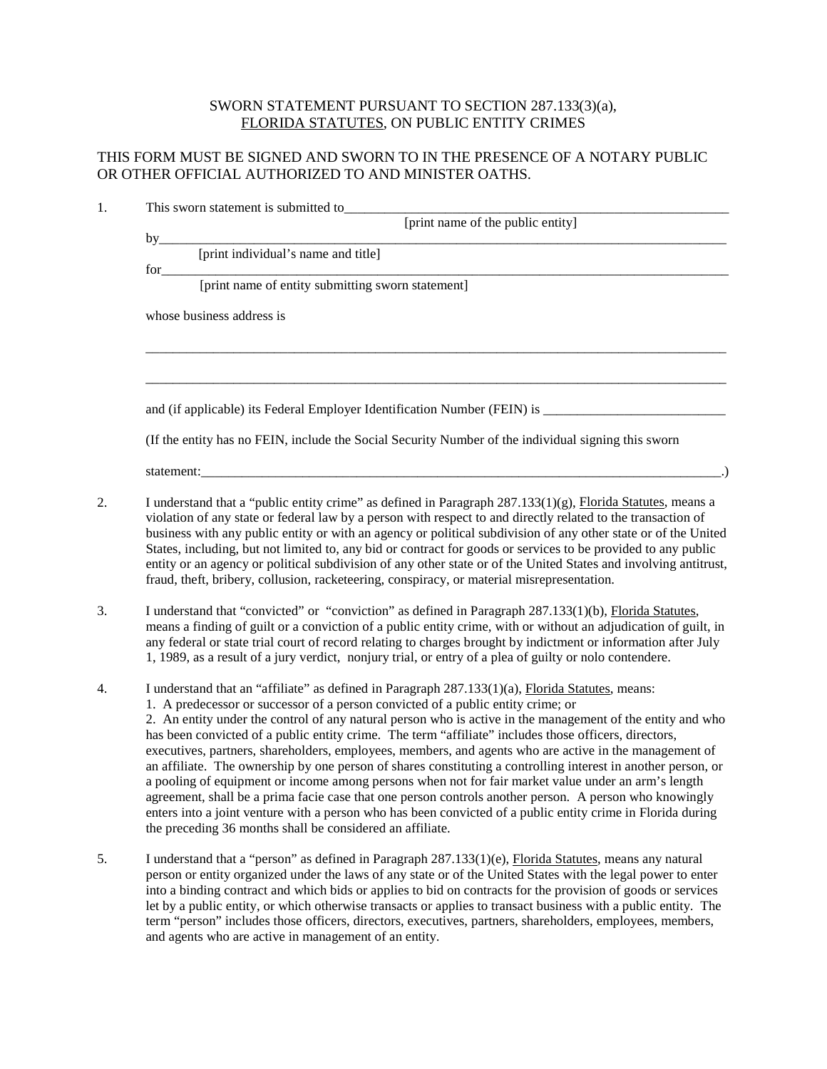## SWORN STATEMENT PURSUANT TO SECTION 287.133(3)(a), FLORIDA STATUTES, ON PUBLIC ENTITY CRIMES

## THIS FORM MUST BE SIGNED AND SWORN TO IN THE PRESENCE OF A NOTARY PUBLIC OR OTHER OFFICIAL AUTHORIZED TO AND MINISTER OATHS.

| 1. |                                                                                                                                                                                                                                                                                                                                                                                                                                                                                                                                                                                                                                                                                    |  |
|----|------------------------------------------------------------------------------------------------------------------------------------------------------------------------------------------------------------------------------------------------------------------------------------------------------------------------------------------------------------------------------------------------------------------------------------------------------------------------------------------------------------------------------------------------------------------------------------------------------------------------------------------------------------------------------------|--|
|    | This sworn statement is submitted to<br>[print name of the public entity]                                                                                                                                                                                                                                                                                                                                                                                                                                                                                                                                                                                                          |  |
|    |                                                                                                                                                                                                                                                                                                                                                                                                                                                                                                                                                                                                                                                                                    |  |
|    |                                                                                                                                                                                                                                                                                                                                                                                                                                                                                                                                                                                                                                                                                    |  |
|    | for<br>[print name of entity submitting sworn statement]                                                                                                                                                                                                                                                                                                                                                                                                                                                                                                                                                                                                                           |  |
|    |                                                                                                                                                                                                                                                                                                                                                                                                                                                                                                                                                                                                                                                                                    |  |
|    | whose business address is                                                                                                                                                                                                                                                                                                                                                                                                                                                                                                                                                                                                                                                          |  |
|    |                                                                                                                                                                                                                                                                                                                                                                                                                                                                                                                                                                                                                                                                                    |  |
|    |                                                                                                                                                                                                                                                                                                                                                                                                                                                                                                                                                                                                                                                                                    |  |
|    | (If the entity has no FEIN, include the Social Security Number of the individual signing this sworn                                                                                                                                                                                                                                                                                                                                                                                                                                                                                                                                                                                |  |
|    |                                                                                                                                                                                                                                                                                                                                                                                                                                                                                                                                                                                                                                                                                    |  |
| 2. | I understand that a "public entity crime" as defined in Paragraph $287.133(1)(g)$ , Florida Statutes, means a<br>violation of any state or federal law by a person with respect to and directly related to the transaction of<br>business with any public entity or with an agency or political subdivision of any other state or of the United<br>States, including, but not limited to, any bid or contract for goods or services to be provided to any public<br>entity or an agency or political subdivision of any other state or of the United States and involving antitrust,<br>fraud, theft, bribery, collusion, racketeering, conspiracy, or material misrepresentation. |  |
| 3. | I understand that "convicted" or "conviction" as defined in Paragraph 287.133(1)(b), Florida Statutes,<br>means a finding of guilt or a conviction of a public entity crime, with or without an adjudication of guilt, in<br>any federal or state trial court of record relating to charges brought by indictment or information after July<br>1, 1989, as a result of a jury verdict, nonjury trial, or entry of a plea of guilty or nolo contendere.                                                                                                                                                                                                                             |  |

- 4. I understand that an "affiliate" as defined in Paragraph 287.133(1)(a), Florida Statutes, means: 1. A predecessor or successor of a person convicted of a public entity crime; or 2. An entity under the control of any natural person who is active in the management of the entity and who has been convicted of a public entity crime. The term "affiliate" includes those officers, directors, executives, partners, shareholders, employees, members, and agents who are active in the management of an affiliate. The ownership by one person of shares constituting a controlling interest in another person, or a pooling of equipment or income among persons when not for fair market value under an arm's length agreement, shall be a prima facie case that one person controls another person. A person who knowingly enters into a joint venture with a person who has been convicted of a public entity crime in Florida during the preceding 36 months shall be considered an affiliate.
- 5. I understand that a "person" as defined in Paragraph 287.133(1)(e), Florida Statutes, means any natural person or entity organized under the laws of any state or of the United States with the legal power to enter into a binding contract and which bids or applies to bid on contracts for the provision of goods or services let by a public entity, or which otherwise transacts or applies to transact business with a public entity. The term "person" includes those officers, directors, executives, partners, shareholders, employees, members, and agents who are active in management of an entity.